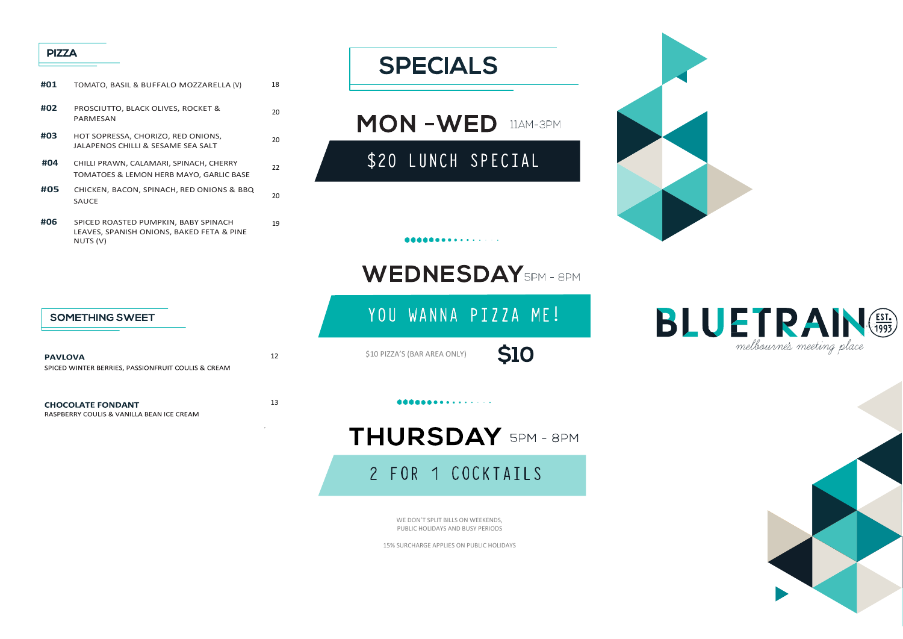#### **PIZZA**

| #01 | TOMATO, BASIL & BUFFALO MOZZARELLA (V)                                                        | 18 |
|-----|-----------------------------------------------------------------------------------------------|----|
| #02 | <b>PROSCIUTTO, BLACK OLIVES, ROCKET &amp;</b><br>PARMESAN                                     | 20 |
| #03 | HOT SOPRESSA, CHORIZO, RED ONIONS,<br>JALAPENOS CHILLI & SESAME SEA SALT                      | 20 |
| #04 | CHILLI PRAWN, CALAMARI, SPINACH, CHERRY<br><b>TOMATOES &amp; LEMON HERB MAYO, GARLIC BASE</b> | 22 |
| #05 | CHICKEN, BACON, SPINACH, RED ONIONS & BBQ<br><b>SAUCE</b>                                     | 20 |
| #06 | SPICED ROASTED PUMPKIN, BABY SPINACH<br>LEAVES, SPANISH ONIONS, BAKED FETA & PINE             | 19 |

# **SPECIALS**

MON-WED LIAM-3PM

\$20 LUNCH SPECIAL

**BODDDDDD . . . . . . . .** 



## YOU WANNA PIZZA ME!

\$10 PIZZA'S (BAR AREA ONLY)



THURSDAY 5PM - 8PM

**.............** 

2 FOR 1 COCKTAILS

WE DON'T SPLIT BILLS ON WEEKENDS, PUBLIC HOLIDAYS AND BUSY PERIODS

15% SURCHARGE APPLIES ON PUBLIC HOLIDAYS

#### **SOMETHING SWEET**

NUTS (V)

| <b>PAVLOVA</b>                                     |
|----------------------------------------------------|
| SPICED WINTER BERRIES, PASSIONFRUIT COULIS & CREAM |
|                                                    |

 $12$ 

13

**CHOCOLATE FONDANT** RASPBERRY COULIS & VANILLA BEAN ICE CREAM